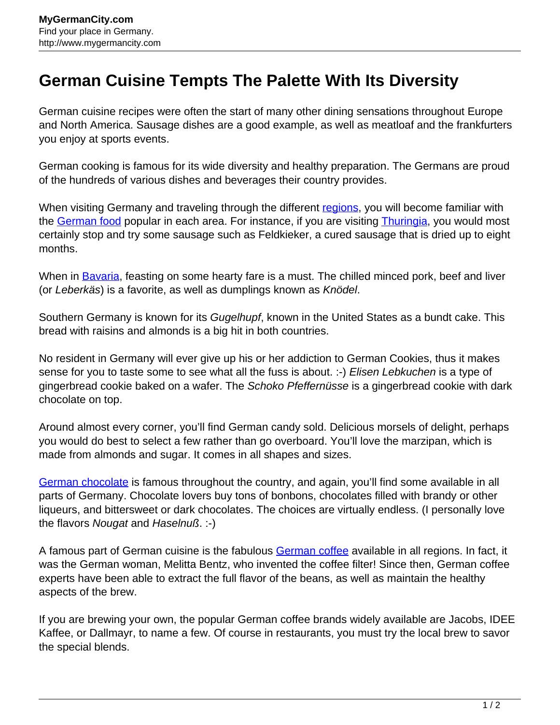## **German Cuisine Tempts The Palette With Its Diversity**

German cuisine recipes were often the start of many other dining sensations throughout Europe and North America. Sausage dishes are a good example, as well as meatloaf and the frankfurters you enjoy at sports events.

German cooking is famous for its wide diversity and healthy preparation. The Germans are proud of the hundreds of various dishes and beverages their country provides.

When visiting Germany and traveling through the different [regions](http://www.mygermancity.com/german-regions), you will become familiar with the [German food](http://www.mygermancity.com/german-food) popular in each area. For instance, if you are visiting [Thuringia](http://www.mygermancity.com/thuringia), you would most certainly stop and try some sausage such as Feldkieker, a cured sausage that is dried up to eight months.

When in **Bavaria**, feasting on some hearty fare is a must. The chilled minced pork, beef and liver (or Leberkäs) is a favorite, as well as dumplings known as Knödel.

Southern Germany is known for its Gugelhupf, known in the United States as a bundt cake. This bread with raisins and almonds is a big hit in both countries.

No resident in Germany will ever give up his or her addiction to German Cookies, thus it makes sense for you to taste some to see what all the fuss is about. :-) Elisen Lebkuchen is a type of gingerbread cookie baked on a wafer. The Schoko Pfeffernüsse is a gingerbread cookie with dark chocolate on top.

Around almost every corner, you'll find German candy sold. Delicious morsels of delight, perhaps you would do best to select a few rather than go overboard. You'll love the marzipan, which is made from almonds and sugar. It comes in all shapes and sizes.

[German chocolate](http://www.mygermancity.com/german-chocolate) is famous throughout the country, and again, you'll find some available in all parts of Germany. Chocolate lovers buy tons of bonbons, chocolates filled with brandy or other liqueurs, and bittersweet or dark chocolates. The choices are virtually endless. (I personally love the flavors Nougat and Haselnuß. :-)

A famous part of German cuisine is the fabulous [German coffee](http://www.mygermancity.com/german-coffee) available in all regions. In fact, it was the German woman, Melitta Bentz, who invented the coffee filter! Since then, German coffee experts have been able to extract the full flavor of the beans, as well as maintain the healthy aspects of the brew.

If you are brewing your own, the popular German coffee brands widely available are Jacobs, IDEE Kaffee, or Dallmayr, to name a few. Of course in restaurants, you must try the local brew to savor the special blends.